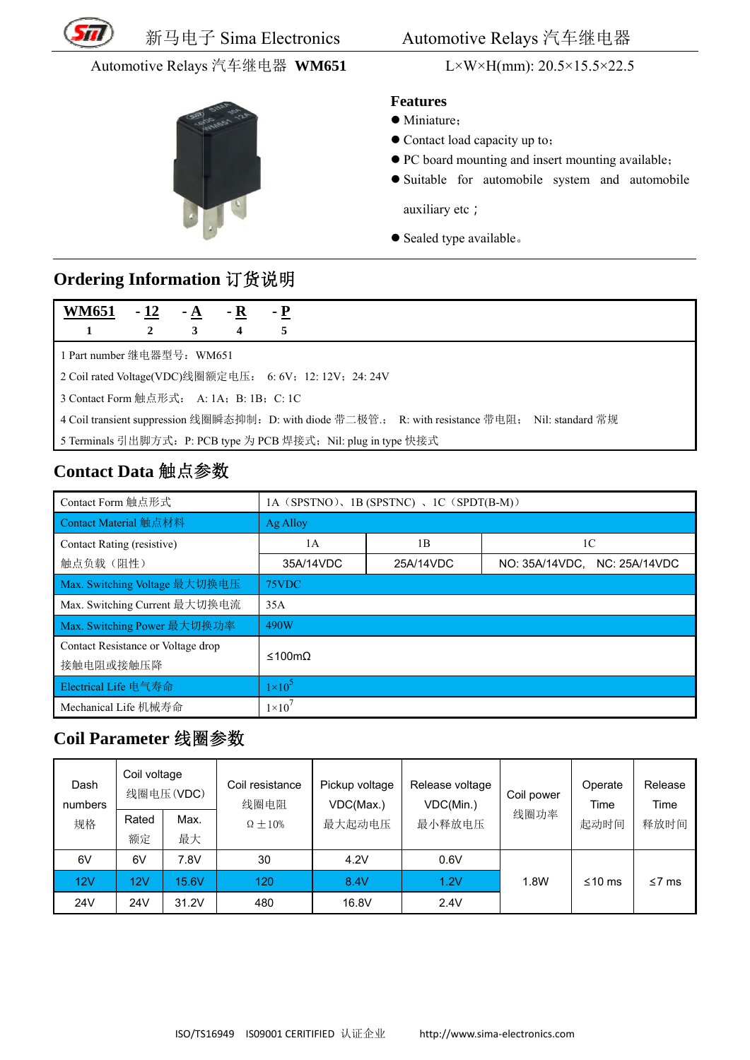

新马电子 Sima Electronics

## Automotive Relays 汽车继电器 WM651



### L×W×H(mm):  $20.5 \times 15.5 \times 22.5$

#### **Features**

· Miniature:

- Contact load capacity up to:
- PC board mounting and insert mounting available;
- · Suitable for automobile system and automobile auxiliary etc;

• Sealed type available.

# Ordering Information 订货说明

| <b>WM651</b>                                                                                       | $-12$                      | $- A$ | $- R$ | $-{\bf P}$ |  |  |  |
|----------------------------------------------------------------------------------------------------|----------------------------|-------|-------|------------|--|--|--|
|                                                                                                    | 2                          | 3     | 4     | 5          |  |  |  |
|                                                                                                    | 1 Part number 继电器型号: WM651 |       |       |            |  |  |  |
| 2 Coil rated Voltage(VDC)线圈额定电压: 6: 6V; 12: 12V; 24: 24V                                           |                            |       |       |            |  |  |  |
| 3 Contact Form 触点形式: A: 1A; B: 1B; C: 1C                                                           |                            |       |       |            |  |  |  |
| 4 Coil transient suppression 线圈瞬态抑制: D: with diode 带二极管:; R: with resistance 带电阻; Nil: standard 常规 |                            |       |       |            |  |  |  |
| 5 Terminals 引出脚方式: P: PCB type 为 PCB 焊接式; Nil: plug in type 快接式                                    |                            |       |       |            |  |  |  |

# Contact Data 触点参数

| Contact Form 触点形式                               | $1A$ (SPSTNO), $1B$ (SPSTNC), $1C$ (SPDT(B-M)) |           |                              |  |  |
|-------------------------------------------------|------------------------------------------------|-----------|------------------------------|--|--|
| Contact Material 触点材料                           | Ag Alloy                                       |           |                              |  |  |
| Contact Rating (resistive)                      | 1 <sub>B</sub><br>1A                           |           | 1C                           |  |  |
| 触点负载(阻性)                                        | 35A/14VDC                                      | 25A/14VDC | NO: 35A/14VDC, NC: 25A/14VDC |  |  |
| Max. Switching Voltage 最大切换电压                   | 75VDC                                          |           |                              |  |  |
| Max. Switching Current 最大切换电流                   | 35A                                            |           |                              |  |  |
| Max. Switching Power 最大切换功率                     | 490W                                           |           |                              |  |  |
| Contact Resistance or Voltage drop<br>接触电阻或接触压降 | ≤100mΩ                                         |           |                              |  |  |
| Electrical Life 电气寿命                            | $1\times10^5$                                  |           |                              |  |  |
| Mechanical Life 机械寿命                            | $1\times10'$                                   |           |                              |  |  |

## Coil Parameter 线圈参数

| Dash<br>numbers | Coil voltage | 线圈电压(VDC) | Coil resistance<br>线圈电阻 | Pickup voltage<br>VDC(Max.) | Release voltage<br>VDC(Min.) | Coil power<br>线圈功率 | Operate<br>Time | Release<br>Time |
|-----------------|--------------|-----------|-------------------------|-----------------------------|------------------------------|--------------------|-----------------|-----------------|
| 规格              | Rated        | Max.      | $\Omega \pm 10\%$       | 最大起动电压                      | 最小释放电压                       |                    | 起动时间            | 释放时间            |
|                 | 额定           | 最大        |                         |                             |                              |                    |                 |                 |
| 6V              | 6V           | 7.8V      | 30                      | 4.2V                        | 0.6V                         |                    |                 |                 |
| 12V             | 12V          | 15.6V     | 120                     | 8.4V                        | 1.2V                         | 1.8W               | ≤10 $ms$        | $\leq 7$ ms     |
| 24V             | 24V          | 31.2V     | 480                     | 16.8V                       | 2.4V                         |                    |                 |                 |